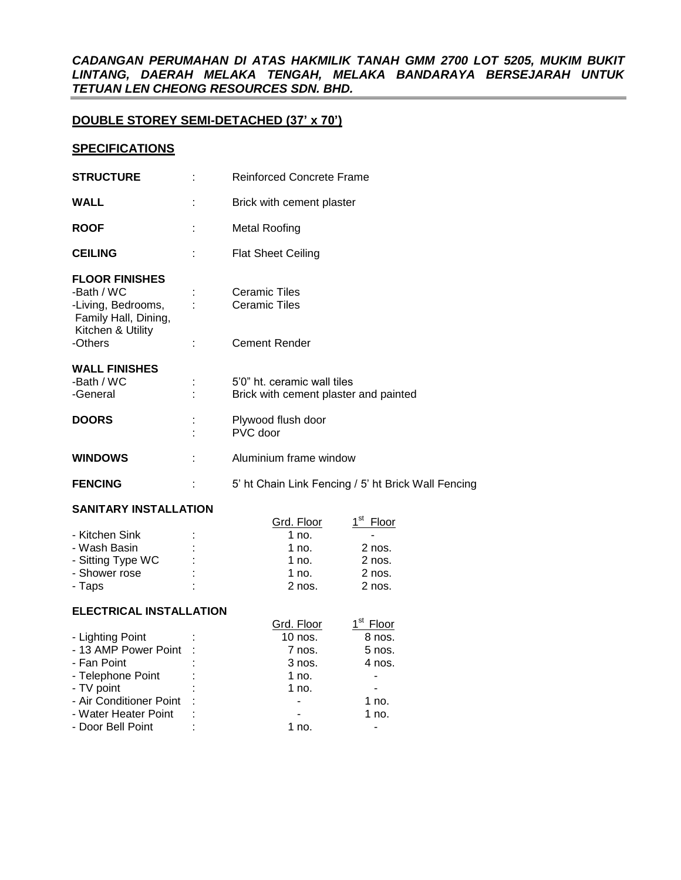## *CADANGAN PERUMAHAN DI ATAS HAKMILIK TANAH GMM 2700 LOT 5205, MUKIM BUKIT LINTANG, DAERAH MELAKA TENGAH, MELAKA BANDARAYA BERSEJARAH UNTUK TETUAN LEN CHEONG RESOURCES SDN. BHD.*

# **DOUBLE STOREY SEMI-DETACHED (37' x 70')**

## **SPECIFICATIONS**

| <b>STRUCTURE</b>                                                                                       | <b>Reinforced Concrete Frame</b>                                     |
|--------------------------------------------------------------------------------------------------------|----------------------------------------------------------------------|
| <b>WALL</b>                                                                                            | Brick with cement plaster                                            |
| <b>ROOF</b>                                                                                            | <b>Metal Roofing</b>                                                 |
| <b>CEILING</b>                                                                                         | <b>Flat Sheet Ceiling</b>                                            |
| <b>FLOOR FINISHES</b><br>-Bath / WC<br>-Living, Bedrooms,<br>Family Hall, Dining,<br>Kitchen & Utility | <b>Ceramic Tiles</b><br><b>Ceramic Tiles</b>                         |
| -Others                                                                                                | <b>Cement Render</b>                                                 |
| <b>WALL FINISHES</b><br>-Bath / WC<br>-General                                                         | 5'0" ht. ceramic wall tiles<br>Brick with cement plaster and painted |
| <b>DOORS</b>                                                                                           | Plywood flush door<br>PVC door                                       |
| <b>WINDOWS</b>                                                                                         | Aluminium frame window                                               |
| <b>FENCING</b>                                                                                         | 5' ht Chain Link Fencing / 5' ht Brick Wall Fencing                  |

#### **SANITARY INSTALLATION**

| <u>UANILANI INVIALLATIVN</u> |   |            |                          |
|------------------------------|---|------------|--------------------------|
|                              |   | Grd. Floor | 4 <sup>St</sup><br>Floor |
| - Kitchen Sink               | ٠ | 1 no.      |                          |
| - Wash Basin                 | ٠ | 1 no.      | 2 nos.                   |
| - Sitting Type WC            | ٠ | 1 no.      | $2$ nos.                 |
| - Shower rose                | ۰ | 1 no.      | 2 nos.                   |
| - Taps                       | ۰ | $2$ nos.   | $2$ nos.                 |

### **ELECTRICAL INSTALLATION**

|                         |         | Grd. Floor | Floor    |
|-------------------------|---------|------------|----------|
| - Lighting Point        |         | 10 nos.    | 8 nos.   |
| - 13 AMP Power Point :  |         | 7 nos.     | $5$ nos. |
| - Fan Point             |         | 3 nos.     | 4 nos.   |
| - Telephone Point       |         | 1 no.      |          |
| - TV point              |         | 1 no.      |          |
| - Air Conditioner Point | $\cdot$ |            | $1$ no.  |
| - Water Heater Point    | ٠       |            | $1$ no.  |
| - Door Bell Point       |         | 1 no       |          |
|                         |         |            |          |